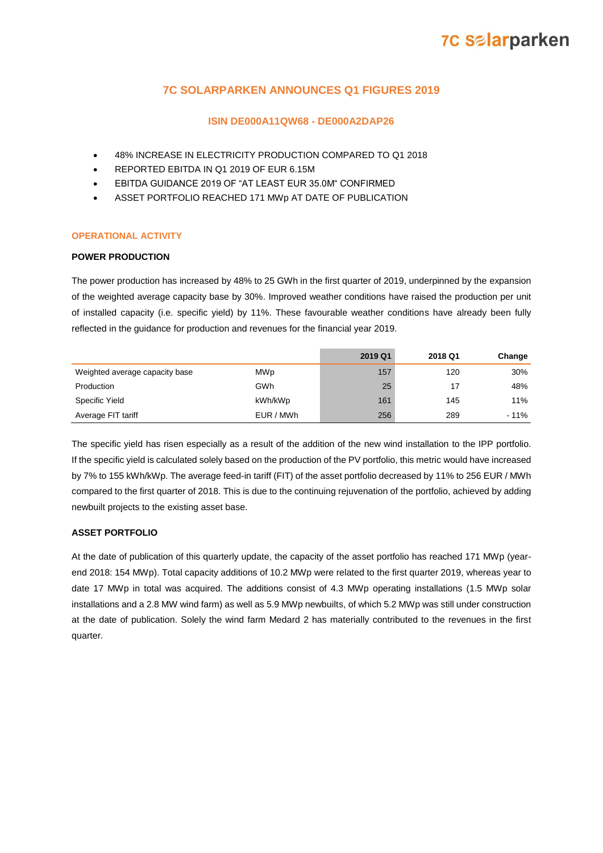### **7C SOLARPARKEN ANNOUNCES Q1 FIGURES 2019**

### **ISIN DE000A11QW68 - DE000A2DAP26**

- 48% INCREASE IN ELECTRICITY PRODUCTION COMPARED TO Q1 2018
- REPORTED EBITDA IN Q1 2019 OF EUR 6.15M
- EBITDA GUIDANCE 2019 OF "AT LEAST EUR 35.0M" CONFIRMED
- ASSET PORTFOLIO REACHED 171 MWp AT DATE OF PUBLICATION

### **OPERATIONAL ACTIVITY**

### **POWER PRODUCTION**

The power production has increased by 48% to 25 GWh in the first quarter of 2019, underpinned by the expansion of the weighted average capacity base by 30%. Improved weather conditions have raised the production per unit of installed capacity (i.e. specific yield) by 11%. These favourable weather conditions have already been fully reflected in the guidance for production and revenues for the financial year 2019.

|                                |           | 2019 Q1 | 2018 Q1 | Change |
|--------------------------------|-----------|---------|---------|--------|
| Weighted average capacity base | MWp       | 157     | 120     | 30%    |
| Production                     | GWh       | 25      | 17      | 48%    |
| Specific Yield                 | kWh/kWp   | 161     | 145     | 11%    |
| Average FIT tariff             | EUR / MWh | 256     | 289     | $-11%$ |

The specific yield has risen especially as a result of the addition of the new wind installation to the IPP portfolio. If the specific yield is calculated solely based on the production of the PV portfolio, this metric would have increased by 7% to 155 kWh/kWp. The average feed-in tariff (FIT) of the asset portfolio decreased by 11% to 256 EUR / MWh compared to the first quarter of 2018. This is due to the continuing rejuvenation of the portfolio, achieved by adding newbuilt projects to the existing asset base.

### **ASSET PORTFOLIO**

At the date of publication of this quarterly update, the capacity of the asset portfolio has reached 171 MWp (yearend 2018: 154 MWp). Total capacity additions of 10.2 MWp were related to the first quarter 2019, whereas year to date 17 MWp in total was acquired. The additions consist of 4.3 MWp operating installations (1.5 MWp solar installations and a 2.8 MW wind farm) as well as 5.9 MWp newbuilts, of which 5.2 MWp was still under construction at the date of publication. Solely the wind farm Medard 2 has materially contributed to the revenues in the first quarter.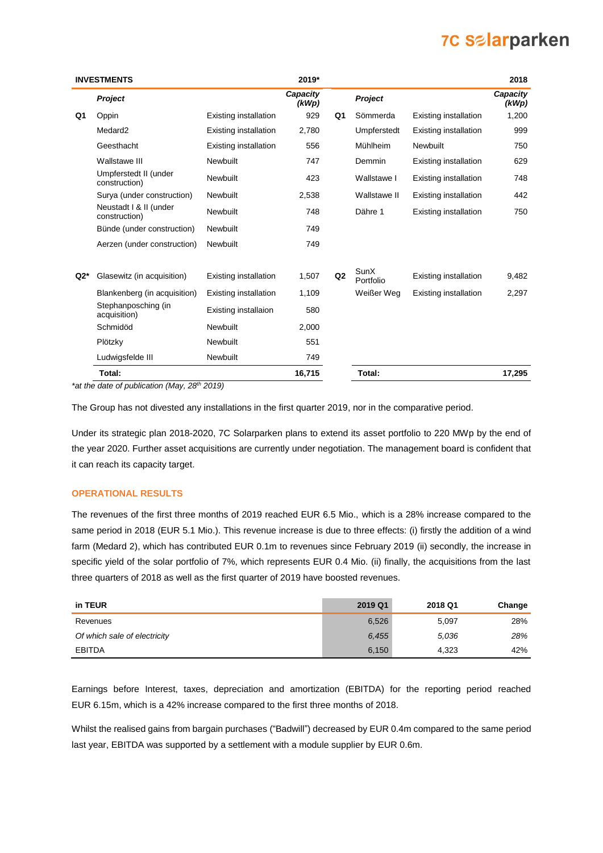|       | <b>INVESTMENTS</b>                      |                              | 2019*             |                |                   |                              | 2018              |
|-------|-----------------------------------------|------------------------------|-------------------|----------------|-------------------|------------------------------|-------------------|
|       | <b>Project</b>                          |                              | Capacity<br>(kWp) |                | <b>Project</b>    |                              | Capacity<br>(kWp) |
| Q1    | Oppin                                   | Existing installation        | 929               | Q1             | Sömmerda          | Existing installation        | 1,200             |
|       | Medard <sub>2</sub>                     | <b>Existing installation</b> | 2,780             |                | Umpferstedt       | Existing installation        | 999               |
|       | Geesthacht                              | Existing installation        | 556               |                | Mühlheim          | Newbuilt                     | 750               |
|       | <b>Wallstawe III</b>                    | Newbuilt                     | 747               |                | Demmin            | <b>Existing installation</b> | 629               |
|       | Umpferstedt II (under<br>construction)  | Newbuilt                     | 423               |                | Wallstawe I       | Existing installation        | 748               |
|       | Surya (under construction)              | Newbuilt                     | 2,538             |                | Wallstawe II      | Existing installation        | 442               |
|       | Neustadt   & II (under<br>construction) | Newbuilt                     | 748               |                | Dähre 1           | <b>Existing installation</b> | 750               |
|       | Bünde (under construction)              | Newbuilt                     | 749               |                |                   |                              |                   |
|       | Aerzen (under construction)             | Newbuilt                     | 749               |                |                   |                              |                   |
| $Q2*$ | Glasewitz (in acquisition)              | <b>Existing installation</b> | 1,507             | Q <sub>2</sub> | SunX<br>Portfolio | Existing installation        | 9,482             |
|       | Blankenberg (in acquisition)            | <b>Existing installation</b> | 1,109             |                | Weißer Weg        | Existing installation        | 2,297             |
|       | Stephanposching (in<br>acquisition)     | Existing installaion         | 580               |                |                   |                              |                   |
|       | Schmidöd                                | Newbuilt                     | 2,000             |                |                   |                              |                   |
|       | Plötzky                                 | Newbuilt                     | 551               |                |                   |                              |                   |
|       | Ludwigsfelde III                        | Newbuilt                     | 749               |                |                   |                              |                   |
|       | Total:                                  |                              | 16,715            |                | Total:            |                              | 17,295            |

*\*at the date of publication (May, 28th 2019)* 

The Group has not divested any installations in the first quarter 2019, nor in the comparative period.

Under its strategic plan 2018-2020, 7C Solarparken plans to extend its asset portfolio to 220 MWp by the end of the year 2020. Further asset acquisitions are currently under negotiation. The management board is confident that it can reach its capacity target.

### **OPERATIONAL RESULTS**

The revenues of the first three months of 2019 reached EUR 6.5 Mio., which is a 28% increase compared to the same period in 2018 (EUR 5.1 Mio.). This revenue increase is due to three effects: (i) firstly the addition of a wind farm (Medard 2), which has contributed EUR 0.1m to revenues since February 2019 (ii) secondly, the increase in specific yield of the solar portfolio of 7%, which represents EUR 0.4 Mio. (ii) finally, the acquisitions from the last three quarters of 2018 as well as the first quarter of 2019 have boosted revenues.

| in TEUR                      | 2019 Q1 | 2018 Q1 | Change |
|------------------------------|---------|---------|--------|
| Revenues                     | 6,526   | 5,097   | 28%    |
| Of which sale of electricity | 6,455   | 5,036   | 28%    |
| <b>EBITDA</b>                | 6,150   | 4,323   | 42%    |

Earnings before Interest, taxes, depreciation and amortization (EBITDA) for the reporting period reached EUR 6.15m, which is a 42% increase compared to the first three months of 2018.

Whilst the realised gains from bargain purchases ("Badwill") decreased by EUR 0.4m compared to the same period last year, EBITDA was supported by a settlement with a module supplier by EUR 0.6m.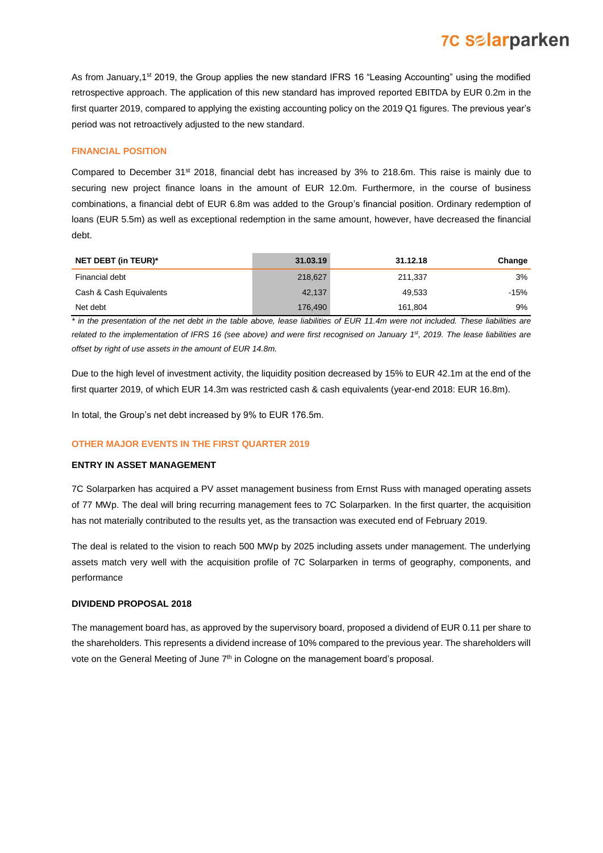As from January,1<sup>st</sup> 2019, the Group applies the new standard IFRS 16 "Leasing Accounting" using the modified retrospective approach. The application of this new standard has improved reported EBITDA by EUR 0.2m in the first quarter 2019, compared to applying the existing accounting policy on the 2019 Q1 figures. The previous year's period was not retroactively adjusted to the new standard.

### **FINANCIAL POSITION**

Compared to December 31<sup>st</sup> 2018, financial debt has increased by 3% to 218.6m. This raise is mainly due to securing new project finance loans in the amount of EUR 12.0m. Furthermore, in the course of business combinations, a financial debt of EUR 6.8m was added to the Group's financial position. Ordinary redemption of loans (EUR 5.5m) as well as exceptional redemption in the same amount, however, have decreased the financial debt.

| <b>NET DEBT (in TEUR)*</b> | 31.03.19 | 31.12.18 | Change |
|----------------------------|----------|----------|--------|
| Financial debt             | 218,627  | 211.337  | 3%     |
| Cash & Cash Equivalents    | 42,137   | 49.533   | -15%   |
| Net debt                   | 176,490  | 161.804  | 9%     |

*\* in the presentation of the net debt in the table above, lease liabilities of EUR 11.4m were not included. These liabilities are related to the implementation of IFRS 16 (see above) and were first recognised on January 1 st , 2019. The lease liabilities are offset by right of use assets in the amount of EUR 14.8m.*

Due to the high level of investment activity, the liquidity position decreased by 15% to EUR 42.1m at the end of the first quarter 2019, of which EUR 14.3m was restricted cash & cash equivalents (year-end 2018: EUR 16.8m).

In total, the Group's net debt increased by 9% to EUR 176.5m.

### **OTHER MAJOR EVENTS IN THE FIRST QUARTER 2019**

### **ENTRY IN ASSET MANAGEMENT**

7C Solarparken has acquired a PV asset management business from Ernst Russ with managed operating assets of 77 MWp. The deal will bring recurring management fees to 7C Solarparken. In the first quarter, the acquisition has not materially contributed to the results yet, as the transaction was executed end of February 2019.

The deal is related to the vision to reach 500 MWp by 2025 including assets under management. The underlying assets match very well with the acquisition profile of 7C Solarparken in terms of geography, components, and performance

### **DIVIDEND PROPOSAL 2018**

The management board has, as approved by the supervisory board, proposed a dividend of EUR 0.11 per share to the shareholders. This represents a dividend increase of 10% compared to the previous year. The shareholders will vote on the General Meeting of June 7<sup>th</sup> in Cologne on the management board's proposal.